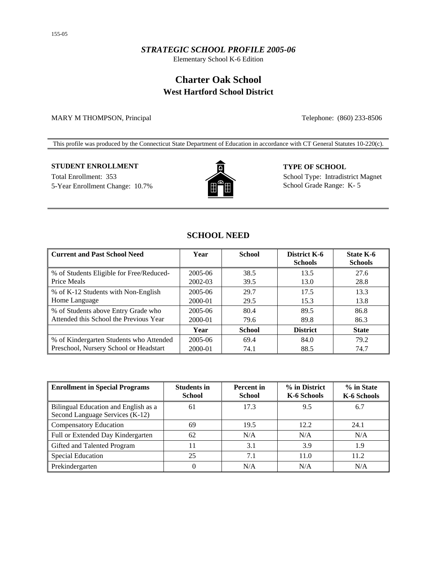## *STRATEGIC SCHOOL PROFILE 2005-06*

Elementary School K-6 Edition

# **Charter Oak School West Hartford School District**

MARY M THOMPSON, Principal Telephone: (860) 233-8506

This profile was produced by the Connecticut State Department of Education in accordance with CT General Statutes 10-220(c).

## **STUDENT ENROLLMENT TYPE OF SCHOOL**

5-Year Enrollment Change: 10.7% **School Grade Range: K-5** School Grade Range: K-5



Total Enrollment: 353 School Type: Intradistrict Magnet

## **SCHOOL NEED**

| <b>Current and Past School Need</b>      | Year        | <b>School</b> | District K-6<br><b>Schools</b> | <b>State K-6</b><br><b>Schools</b> |
|------------------------------------------|-------------|---------------|--------------------------------|------------------------------------|
| % of Students Eligible for Free/Reduced- | 2005-06     | 38.5          | 13.5                           | 27.6                               |
| Price Meals                              | 2002-03     | 39.5          | 13.0                           | 28.8                               |
| % of K-12 Students with Non-English      | $2005 - 06$ | 29.7          | 17.5                           | 13.3                               |
| Home Language                            | 2000-01     | 29.5          | 15.3                           | 13.8                               |
| % of Students above Entry Grade who      | 2005-06     | 80.4          | 89.5                           | 86.8                               |
| Attended this School the Previous Year   | 2000-01     | 79.6          | 89.8                           | 86.3                               |
|                                          | Year        | <b>School</b> | <b>District</b>                | <b>State</b>                       |
| % of Kindergarten Students who Attended  | $2005 - 06$ | 69.4          | 84.0                           | 79.2                               |
| Preschool, Nursery School or Headstart   | 2000-01     | 74.1          | 88.5                           | 74.7                               |

| <b>Enrollment in Special Programs</b>                                   | <b>Students in</b><br><b>School</b> | <b>Percent</b> in<br><b>School</b> | % in District<br>K-6 Schools | % in State<br>K-6 Schools |
|-------------------------------------------------------------------------|-------------------------------------|------------------------------------|------------------------------|---------------------------|
| Bilingual Education and English as a<br>Second Language Services (K-12) | 61                                  | 17.3                               | 9.5                          | 6.7                       |
| <b>Compensatory Education</b>                                           | 69                                  | 19.5                               | 12.2                         | 24.1                      |
| Full or Extended Day Kindergarten                                       | 62                                  | N/A                                | N/A                          | N/A                       |
| Gifted and Talented Program                                             |                                     | 3.1                                | 3.9                          | 1.9                       |
| <b>Special Education</b>                                                | 25                                  | 7.1                                | 11.0                         | 11.2                      |
| Prekindergarten                                                         | 0                                   | N/A                                | N/A                          | N/A                       |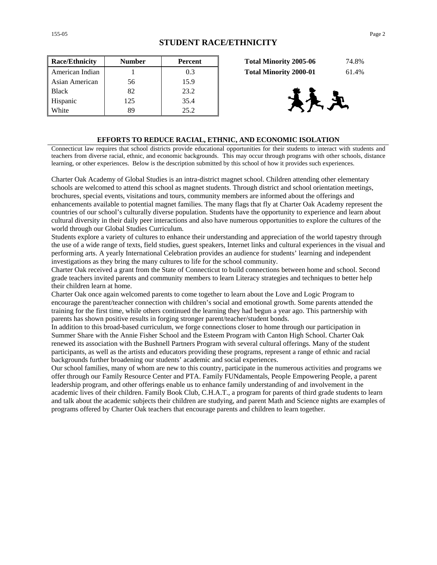| <b>Race/Ethnicity</b> | <b>Number</b> | <b>Percent</b> | 74.8%<br><b>Total Minority 2005-06</b> |
|-----------------------|---------------|----------------|----------------------------------------|
| American Indian       |               | 0.3            | <b>Total Minority 2000-01</b><br>61.4% |
| Asian American        | 56            | 15.9           |                                        |
| <b>Black</b>          | 82            | 23.2           |                                        |
| Hispanic              | 125           | 35.4           | 决定                                     |
| White                 | 89            | 25.2           |                                        |

| <b>Total Minority 2005-06</b> | 74.8% |
|-------------------------------|-------|
| <b>Total Minority 2000-01</b> | 61.4% |



#### **EFFORTS TO REDUCE RACIAL, ETHNIC, AND ECONOMIC ISOLATION**

Connecticut law requires that school districts provide educational opportunities for their students to interact with students and teachers from diverse racial, ethnic, and economic backgrounds. This may occur through programs with other schools, distance learning, or other experiences. Below is the description submitted by this school of how it provides such experiences.

Charter Oak Academy of Global Studies is an intra-district magnet school. Children attending other elementary schools are welcomed to attend this school as magnet students. Through district and school orientation meetings, brochures, special events, visitations and tours, community members are informed about the offerings and enhancements available to potential magnet families. The many flags that fly at Charter Oak Academy represent the countries of our school's culturally diverse population. Students have the opportunity to experience and learn about cultural diversity in their daily peer interactions and also have numerous opportunities to explore the cultures of the world through our Global Studies Curriculum.

Students explore a variety of cultures to enhance their understanding and appreciation of the world tapestry through the use of a wide range of texts, field studies, guest speakers, Internet links and cultural experiences in the visual and performing arts. A yearly International Celebration provides an audience for students' learning and independent investigations as they bring the many cultures to life for the school community.

Charter Oak received a grant from the State of Connecticut to build connections between home and school. Second grade teachers invited parents and community members to learn Literacy strategies and techniques to better help their children learn at home.

Charter Oak once again welcomed parents to come together to learn about the Love and Logic Program to encourage the parent/teacher connection with children's social and emotional growth. Some parents attended the training for the first time, while others continued the learning they had begun a year ago. This partnership with parents has shown positive results in forging stronger parent/teacher/student bonds.

In addition to this broad-based curriculum, we forge connections closer to home through our participation in Summer Share with the Annie Fisher School and the Esteem Program with Canton High School. Charter Oak renewed its association with the Bushnell Partners Program with several cultural offerings. Many of the student participants, as well as the artists and educators providing these programs, represent a range of ethnic and racial backgrounds further broadening our students' academic and social experiences.

Our school families, many of whom are new to this country, participate in the numerous activities and programs we offer through our Family Resource Center and PTA. Family FUNdamentals, People Empowering People, a parent leadership program, and other offerings enable us to enhance family understanding of and involvement in the academic lives of their children. Family Book Club, C.H.A.T., a program for parents of third grade students to learn and talk about the academic subjects their children are studying, and parent Math and Science nights are examples of programs offered by Charter Oak teachers that encourage parents and children to learn together.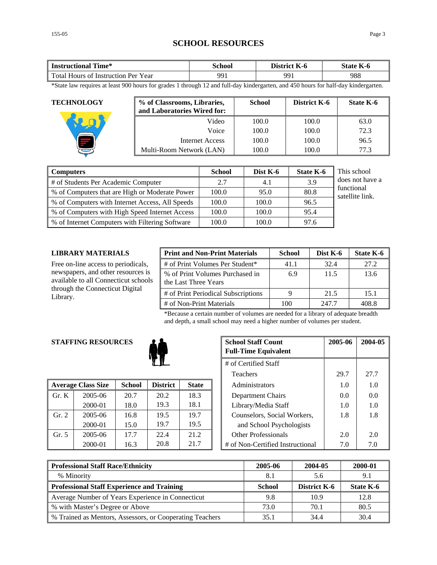## **SCHOOL RESOURCES**

| Time*                               | `chool | District | $-$       |  |
|-------------------------------------|--------|----------|-----------|--|
| <b>Instructional</b>                |        | - K-0    | State K-6 |  |
| Total Hours of Instruction Per Year | 991    | 991      | 988       |  |

\*State law requires at least 900 hours for grades 1 through 12 and full-day kindergarten, and 450 hours for half-day kindergarten.

| <b>TECHNOLOGY</b> | % of Classrooms, Libraries,<br>and Laboratories Wired for: | <b>School</b> | District K-6 | State K-6 |
|-------------------|------------------------------------------------------------|---------------|--------------|-----------|
|                   | Video                                                      | 100.0         | 100.0        | 63.0      |
|                   | Voice                                                      | 100.0         | 100.0        | 72.3      |
|                   | Internet Access                                            | 100.0         | 100.0        | 96.5      |
|                   | Multi-Room Network (LAN)                                   | 100.0         | 100.0        | 77.3      |

| <b>Computers</b>                                | <b>School</b> | Dist K-6 | <b>State K-6</b> | This school                   |
|-------------------------------------------------|---------------|----------|------------------|-------------------------------|
| # of Students Per Academic Computer             | 2.7           | 4.1      | 3.9              | does not have a               |
| % of Computers that are High or Moderate Power  | 100.0         | 95.0     | 80.8             | functional<br>satellite link. |
| % of Computers with Internet Access, All Speeds | 100.0         | 100.0    | 96.5             |                               |
| % of Computers with High Speed Internet Access  | 100.0         | 100.0    | 95.4             |                               |
| % of Internet Computers with Filtering Software | 100.0         | 100.0    | 97.6             |                               |

#### **LIBRARY MATERIALS**

Free on-line access to periodicals, newspapers, and other resources is available to all Connecticut schools through the Connecticut Digital Library.

| <b>Print and Non-Print Materials</b>                    | <b>School</b> | Dist K-6 | State K-6 |
|---------------------------------------------------------|---------------|----------|-----------|
| # of Print Volumes Per Student*                         | 41.1          | 32.4     | 27.2      |
| % of Print Volumes Purchased in<br>the Last Three Years | 6.9           | 11.5     | 13.6      |
| # of Print Periodical Subscriptions                     |               | 21.5     | 15.1      |
| # of Non-Print Materials                                | 100           | 247.7    | 408 S     |

\*Because a certain number of volumes are needed for a library of adequate breadth and depth, a small school may need a higher number of volumes per student.

### **STAFFING RESOURCES**



|         | <b>Average Class Size</b> | <b>School</b> | <b>District</b> | <b>State</b> | Administrators                   | 1.0 | 1.0 |
|---------|---------------------------|---------------|-----------------|--------------|----------------------------------|-----|-----|
| Gr. K   | $2005 - 06$               | 20.7          | 20.2            | 18.3         | Department Chairs                | 0.0 | 0.0 |
|         | 2000-01                   | 18.0          | 19.3            | 18.1         | Library/Media Staff              | 1.0 | 1.0 |
| Gr. 2   | 2005-06                   | 16.8          | 19.5            | 19.7         | Counselors, Social Workers,      | 1.8 | 1.8 |
|         | 2000-01                   | 15.0          | 19.7            | 19.5         | and School Psychologists         |     |     |
| Gr. $5$ | $2005 - 06$               | 17.7          | 22.4            | 21.2         | <b>Other Professionals</b>       | 2.0 | 2.0 |
|         | 2000-01                   | 16.3          | 20.8            | 21.7         | # of Non-Certified Instructional | 7.0 | 7.0 |

| <b>G RESOURCES</b> |               |                 |              | <b>School Staff Count</b><br><b>Full-Time Equivalent</b> | 2005-06 | 2004-05 |
|--------------------|---------------|-----------------|--------------|----------------------------------------------------------|---------|---------|
|                    |               |                 |              | # of Certified Staff                                     |         |         |
|                    |               |                 |              | <b>Teachers</b>                                          | 29.7    | 27.7    |
| 'lass Size         | <b>School</b> | <b>District</b> | <b>State</b> | Administrators                                           | 1.0     | 1.0     |
| 2005-06            | 20.7          | 20.2            | 18.3         | Department Chairs                                        | 0.0     | 0.0     |
| 2000-01            | 18.0          | 19.3            | 18.1         | Library/Media Staff                                      | 1.0     | 1.0     |
| 2005-06            | 16.8          | 19.5            | 19.7         | Counselors, Social Workers,                              | 1.8     | 1.8     |
| 2000-01            | 15.0          | 19.7            | 19.5         | and School Psychologists                                 |         |         |
| 2005-06            | 17.7          | 22.4            | 21.2         | <b>Other Professionals</b>                               | 2.0     | 2.0     |
| 2000-01            | 16.3          | 20.8            | 21.7         | # of Non-Certified Instructional                         | 7.0     | 7.0     |

| <b>Professional Staff Race/Ethnicity</b>                 | 2005-06       | 2004-05             | 2000-01   |
|----------------------------------------------------------|---------------|---------------------|-----------|
| % Minority                                               | 8.1           | 5.6                 |           |
| <b>Professional Staff Experience and Training</b>        | <b>School</b> | <b>District K-6</b> | State K-6 |
| Average Number of Years Experience in Connecticut        | 9.8           | 10.9                | 12.8      |
| % with Master's Degree or Above                          | 73.0          | 70.1                | 80.5      |
| % Trained as Mentors, Assessors, or Cooperating Teachers | 35.1          | 34.4                | 30.4      |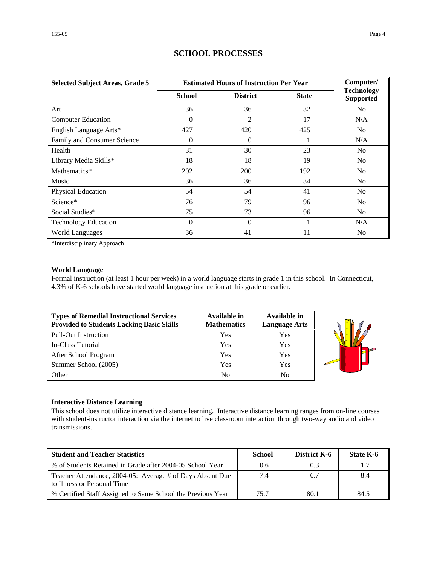| <b>Selected Subject Areas, Grade 5</b> |               | <b>Estimated Hours of Instruction Per Year</b> |              |                                       |  |  |
|----------------------------------------|---------------|------------------------------------------------|--------------|---------------------------------------|--|--|
|                                        | <b>School</b> | <b>District</b>                                | <b>State</b> | <b>Technology</b><br><b>Supported</b> |  |  |
| Art                                    | 36            | 36                                             | 32           | No                                    |  |  |
| <b>Computer Education</b>              | $\Omega$      | 2                                              | 17           | N/A                                   |  |  |
| English Language Arts*                 | 427           | 420                                            | 425          | No.                                   |  |  |
| Family and Consumer Science            | 0             | $\theta$                                       |              | N/A                                   |  |  |
| Health                                 | 31            | 30                                             | 23           | No                                    |  |  |
| Library Media Skills*                  | 18            | 18                                             | 19           | No                                    |  |  |
| Mathematics*                           | 202           | 200                                            | 192          | N <sub>0</sub>                        |  |  |
| Music                                  | 36            | 36                                             | 34           | N <sub>0</sub>                        |  |  |
| Physical Education                     | 54            | 54                                             | 41           | No                                    |  |  |
| Science*                               | 76            | 79                                             | 96           | No                                    |  |  |
| Social Studies*                        | 75            | 73                                             | 96           | No                                    |  |  |
| <b>Technology Education</b>            | $\Omega$      | $\Omega$                                       |              | N/A                                   |  |  |
| <b>World Languages</b>                 | 36            | 41                                             | 11           | N <sub>0</sub>                        |  |  |

## **SCHOOL PROCESSES**

\*Interdisciplinary Approach

### **World Language**

Formal instruction (at least 1 hour per week) in a world language starts in grade 1 in this school. In Connecticut, 4.3% of K-6 schools have started world language instruction at this grade or earlier.

| Types of Remedial Instructional Services<br><b>Provided to Students Lacking Basic Skills</b> | Available in<br><b>Mathematics</b> | Available in<br><b>Language Arts</b> |
|----------------------------------------------------------------------------------------------|------------------------------------|--------------------------------------|
| <b>Pull-Out Instruction</b>                                                                  | Yes                                | Yes                                  |
| In-Class Tutorial                                                                            | Yes                                | Yes                                  |
| After School Program                                                                         | Yes                                | Yes                                  |
| Summer School (2005)                                                                         | Yes                                | Yes                                  |
| Other                                                                                        | No                                 | No                                   |



#### **Interactive Distance Learning**

This school does not utilize interactive distance learning. Interactive distance learning ranges from on-line courses with student-instructor interaction via the internet to live classroom interaction through two-way audio and video transmissions.

| <b>Student and Teacher Statistics</b>                                                    | School | <b>District K-6</b> | State K-6 |
|------------------------------------------------------------------------------------------|--------|---------------------|-----------|
| % of Students Retained in Grade after 2004-05 School Year                                | 0.6    | 0.3                 |           |
| Teacher Attendance, 2004-05: Average # of Days Absent Due<br>to Illness or Personal Time | 7.4    | 6.7                 | 8.4       |
| % Certified Staff Assigned to Same School the Previous Year                              | 75.7   | 80.1                | 84.5      |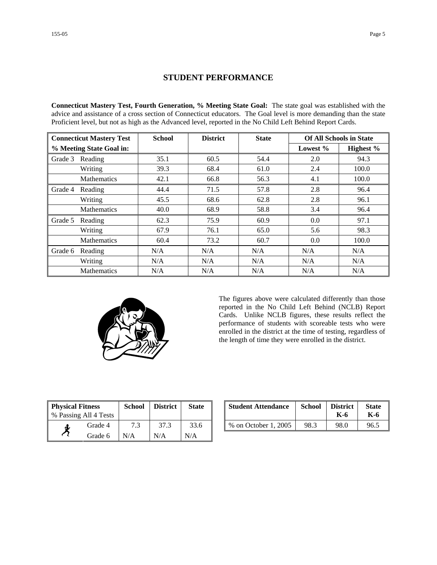## **STUDENT PERFORMANCE**

**Connecticut Mastery Test, Fourth Generation, % Meeting State Goal:** The state goal was established with the advice and assistance of a cross section of Connecticut educators. The Goal level is more demanding than the state Proficient level, but not as high as the Advanced level, reported in the No Child Left Behind Report Cards.

| <b>Connecticut Mastery Test</b> |                    | <b>School</b> | <b>District</b> | <b>State</b> | <b>Of All Schools in State</b> |           |
|---------------------------------|--------------------|---------------|-----------------|--------------|--------------------------------|-----------|
| % Meeting State Goal in:        |                    |               |                 |              | Lowest $%$                     | Highest % |
| Grade 3                         | Reading            | 35.1          | 60.5            | 54.4         | 2.0                            | 94.3      |
|                                 | Writing            | 39.3          | 68.4            | 61.0         | 2.4                            | 100.0     |
|                                 | <b>Mathematics</b> | 42.1          | 66.8            | 56.3         | 4.1                            | 100.0     |
| Grade 4                         | Reading            | 44.4          | 71.5            | 57.8         | 2.8                            | 96.4      |
|                                 | Writing            | 45.5          | 68.6            | 62.8         | 2.8                            | 96.1      |
|                                 | Mathematics        | 40.0          | 68.9            | 58.8         | 3.4                            | 96.4      |
| Grade 5                         | Reading            | 62.3          | 75.9            | 60.9         | 0.0                            | 97.1      |
|                                 | Writing            | 67.9          | 76.1            | 65.0         | 5.6                            | 98.3      |
|                                 | <b>Mathematics</b> | 60.4          | 73.2            | 60.7         | 0.0                            | 100.0     |
| Grade 6                         | Reading            | N/A           | N/A             | N/A          | N/A                            | N/A       |
|                                 | Writing            | N/A           | N/A             | N/A          | N/A                            | N/A       |
|                                 | <b>Mathematics</b> | N/A           | N/A             | N/A          | N/A                            | N/A       |



The figures above were calculated differently than those reported in the No Child Left Behind (NCLB) Report Cards. Unlike NCLB figures, these results reflect the performance of students with scoreable tests who were enrolled in the district at the time of testing, regardless of the length of time they were enrolled in the district.

| <b>Physical Fitness</b> |                       | <b>School</b> | <b>District</b> | <b>State</b> |
|-------------------------|-----------------------|---------------|-----------------|--------------|
|                         | % Passing All 4 Tests |               |                 |              |
|                         | Grade 4               | 7.3           | 37.3            | 33.6         |
|                         | Grade 6               | N/A           | N/A             | N/A          |

| ness<br>11 4 Tests | School | <b>District</b> | <b>State</b> | <b>Student Attendance</b> | School | <b>District</b><br>K-6 | <b>State</b><br>K-6 |
|--------------------|--------|-----------------|--------------|---------------------------|--------|------------------------|---------------------|
| Grade 4            |        |                 | 33.6         | % on October 1, 2005      | 98.3   | 98.0                   | 96.5                |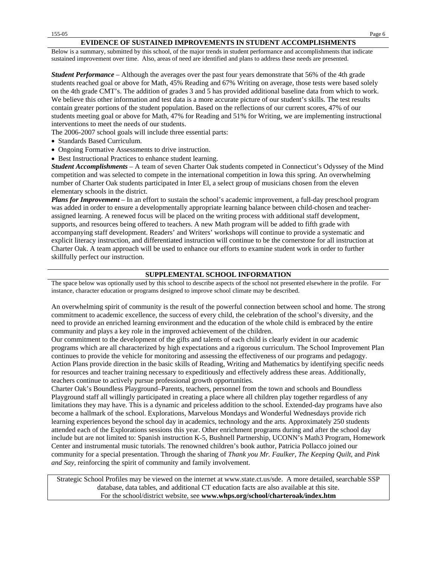Below is a summary, submitted by this school, of the major trends in student performance and accomplishments that indicate sustained improvement over time. Also, areas of need are identified and plans to address these needs are presented.

*Student Performance* – Although the averages over the past four years demonstrate that 56% of the 4th grade students reached goal or above for Math, 45% Reading and 67% Writing on average, those tests were based solely on the 4th grade CMT's. The addition of grades 3 and 5 has provided additional baseline data from which to work. We believe this other information and test data is a more accurate picture of our student's skills. The test results contain greater portions of the student population. Based on the reflections of our current scores, 47% of our students meeting goal or above for Math, 47% for Reading and 51% for Writing, we are implementing instructional interventions to meet the needs of our students.

The 2006-2007 school goals will include three essential parts:

- Standards Based Curriculum.
- Ongoing Formative Assessments to drive instruction.
- Best Instructional Practices to enhance student learning.

*Student Accomplishments* – A team of seven Charter Oak students competed in Connecticut's Odyssey of the Mind competition and was selected to compete in the international competition in Iowa this spring. An overwhelming number of Charter Oak students participated in Inter El, a select group of musicians chosen from the eleven elementary schools in the district.

*Plans for Improvement* – In an effort to sustain the school's academic improvement, a full-day preschool program was added in order to ensure a developmentally appropriate learning balance between child-chosen and teacherassigned learning. A renewed focus will be placed on the writing process with additional staff development, supports, and resources being offered to teachers. A new Math program will be added to fifth grade with accompanying staff development. Readers' and Writers' workshops will continue to provide a systematic and explicit literacy instruction, and differentiated instruction will continue to be the cornerstone for all instruction at Charter Oak. A team approach will be used to enhance our efforts to examine student work in order to further skillfully perfect our instruction.

#### **SUPPLEMENTAL SCHOOL INFORMATION**

The space below was optionally used by this school to describe aspects of the school not presented elsewhere in the profile. For instance, character education or programs designed to improve school climate may be described.

An overwhelming spirit of community is the result of the powerful connection between school and home. The strong commitment to academic excellence, the success of every child, the celebration of the school's diversity, and the need to provide an enriched learning environment and the education of the whole child is embraced by the entire community and plays a key role in the improved achievement of the children.

Our commitment to the development of the gifts and talents of each child is clearly evident in our academic programs which are all characterized by high expectations and a rigorous curriculum. The School Improvement Plan continues to provide the vehicle for monitoring and assessing the effectiveness of our programs and pedagogy. Action Plans provide direction in the basic skills of Reading, Writing and Mathematics by identifying specific needs for resources and teacher training necessary to expeditiously and effectively address these areas. Additionally, teachers continue to actively pursue professional growth opportunities.

Charter Oak's Boundless Playground–Parents, teachers, personnel from the town and schools and Boundless Playground staff all willingly participated in creating a place where all children play together regardless of any limitations they may have. This is a dynamic and priceless addition to the school. Extended-day programs have also become a hallmark of the school. Explorations, Marvelous Mondays and Wonderful Wednesdays provide rich learning experiences beyond the school day in academics, technology and the arts. Approximately 250 students attended each of the Explorations sessions this year. Other enrichment programs during and after the school day include but are not limited to: Spanish instruction K-5, Bushnell Partnership, UCONN's Math3 Program, Homework Center and instrumental music tutorials. The renowned children's book author, Patricia Pollacco joined our community for a special presentation. Through the sharing of *Thank you Mr. Faulker, The Keeping Quilt*, and *Pink and Say*, reinforcing the spirit of community and family involvement.

Strategic School Profiles may be viewed on the internet at www.state.ct.us/sde. A more detailed, searchable SSP database, data tables, and additional CT education facts are also available at this site. For the school/district website, see **www.whps.org/school/charteroak/index.htm**